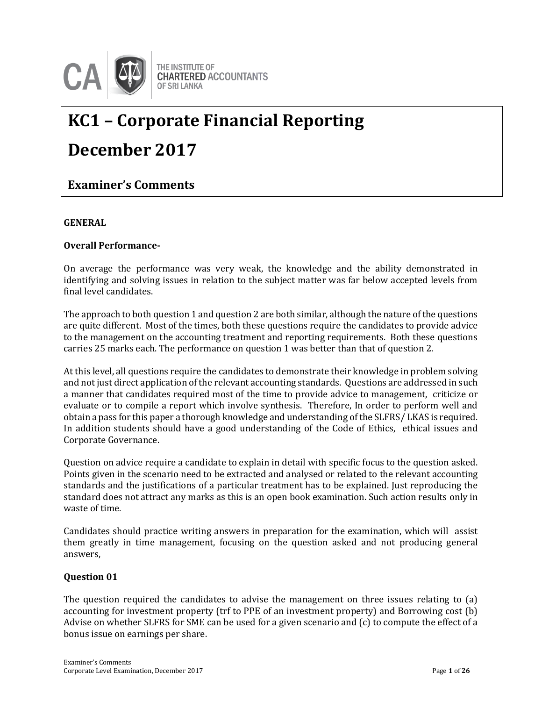

# **KC1 – Corporate Financial Reporting December 2017**

# **Examiner's Comments**

#### **GENERAL**

#### **Overall Performance-**

On average the performance was very weak, the knowledge and the ability demonstrated in identifying and solving issues in relation to the subject matter was far below accepted levels from final level candidates.

The approach to both question 1 and question 2 are both similar, although the nature of the questions are quite different. Most of the times, both these questions require the candidates to provide advice to the management on the accounting treatment and reporting requirements. Both these questions carries 25 marks each. The performance on question 1 was better than that of question 2.

At this level, all questions require the candidates to demonstrate their knowledge in problem solving and not just direct application of the relevant accounting standards. Questions are addressed in such a manner that candidates required most of the time to provide advice to management, criticize or evaluate or to compile a report which involve synthesis. Therefore, In order to perform well and obtain a pass for this paper a thorough knowledge and understanding of the SLFRS/ LKAS is required. In addition students should have a good understanding of the Code of Ethics, ethical issues and Corporate Governance.

Question on advice require a candidate to explain in detail with specific focus to the question asked. Points given in the scenario need to be extracted and analysed or related to the relevant accounting standards and the justifications of a particular treatment has to be explained. Just reproducing the standard does not attract any marks as this is an open book examination. Such action results only in waste of time.

Candidates should practice writing answers in preparation for the examination, which will assist them greatly in time management, focusing on the question asked and not producing general answers,

#### **Question 01**

The question required the candidates to advise the management on three issues relating to (a) accounting for investment property (trf to PPE of an investment property) and Borrowing cost (b) Advise on whether SLFRS for SME can be used for a given scenario and (c) to compute the effect of a bonus issue on earnings per share.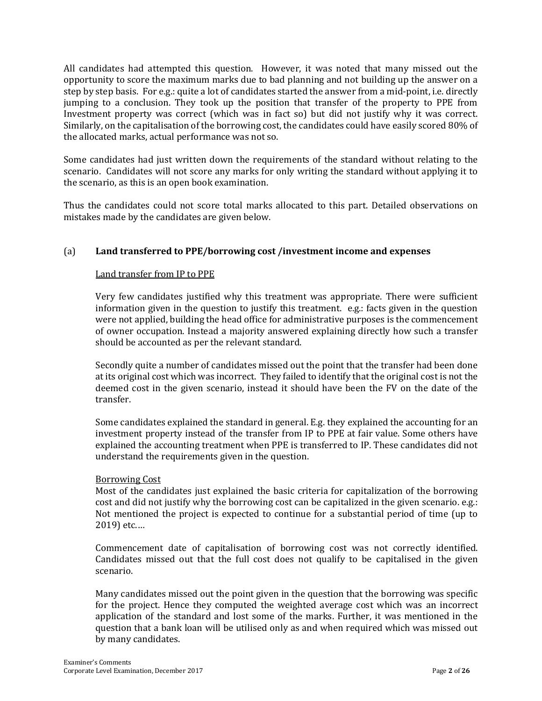All candidates had attempted this question. However, it was noted that many missed out the opportunity to score the maximum marks due to bad planning and not building up the answer on a step by step basis. For e.g.: quite a lot of candidates started the answer from a mid-point, i.e. directly jumping to a conclusion. They took up the position that transfer of the property to PPE from Investment property was correct (which was in fact so) but did not justify why it was correct. Similarly, on the capitalisation of the borrowing cost, the candidates could have easily scored 80% of the allocated marks, actual performance was not so.

Some candidates had just written down the requirements of the standard without relating to the scenario. Candidates will not score any marks for only writing the standard without applying it to the scenario, as this is an open book examination.

Thus the candidates could not score total marks allocated to this part. Detailed observations on mistakes made by the candidates are given below.

# (a) **Land transferred to PPE/borrowing cost /investment income and expenses**

#### Land transfer from IP to PPE

Very few candidates justified why this treatment was appropriate. There were sufficient information given in the question to justify this treatment. e.g.: facts given in the question were not applied, building the head office for administrative purposes is the commencement of owner occupation. Instead a majority answered explaining directly how such a transfer should be accounted as per the relevant standard.

Secondly quite a number of candidates missed out the point that the transfer had been done at its original cost which was incorrect. They failed to identify that the original cost is not the deemed cost in the given scenario, instead it should have been the FV on the date of the transfer.

Some candidates explained the standard in general. E.g. they explained the accounting for an investment property instead of the transfer from IP to PPE at fair value. Some others have explained the accounting treatment when PPE is transferred to IP. These candidates did not understand the requirements given in the question.

#### Borrowing Cost

Most of the candidates just explained the basic criteria for capitalization of the borrowing cost and did not justify why the borrowing cost can be capitalized in the given scenario. e.g.: Not mentioned the project is expected to continue for a substantial period of time (up to 2019) etc.…

Commencement date of capitalisation of borrowing cost was not correctly identified. Candidates missed out that the full cost does not qualify to be capitalised in the given scenario.

Many candidates missed out the point given in the question that the borrowing was specific for the project. Hence they computed the weighted average cost which was an incorrect application of the standard and lost some of the marks. Further, it was mentioned in the question that a bank loan will be utilised only as and when required which was missed out by many candidates.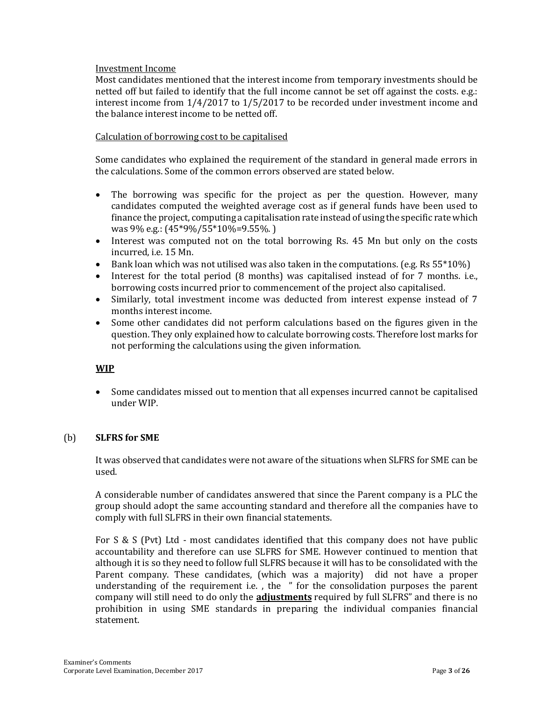#### Investment Income

Most candidates mentioned that the interest income from temporary investments should be netted off but failed to identify that the full income cannot be set off against the costs. e.g.: interest income from 1/4/2017 to 1/5/2017 to be recorded under investment income and the balance interest income to be netted off.

#### Calculation of borrowing cost to be capitalised

Some candidates who explained the requirement of the standard in general made errors in the calculations. Some of the common errors observed are stated below.

- The borrowing was specific for the project as per the question. However, many candidates computed the weighted average cost as if general funds have been used to finance the project, computing a capitalisation rate instead of using the specific rate which was 9% e.g.: (45\*9%/55\*10%=9.55%. )
- Interest was computed not on the total borrowing Rs. 45 Mn but only on the costs incurred, i.e. 15 Mn.
- **Bank loan which was not utilised was also taken in the computations. (e.g. Rs 55\*10%)**
- Interest for the total period (8 months) was capitalised instead of for 7 months. i.e., borrowing costs incurred prior to commencement of the project also capitalised.
- Similarly, total investment income was deducted from interest expense instead of 7 months interest income.
- Some other candidates did not perform calculations based on the figures given in the question. They only explained how to calculate borrowing costs. Therefore lost marks for not performing the calculations using the given information.

# **WIP**

 Some candidates missed out to mention that all expenses incurred cannot be capitalised under WIP.

# (b) **SLFRS for SME**

It was observed that candidates were not aware of the situations when SLFRS for SME can be used.

A considerable number of candidates answered that since the Parent company is a PLC the group should adopt the same accounting standard and therefore all the companies have to comply with full SLFRS in their own financial statements.

For S & S (Pvt) Ltd - most candidates identified that this company does not have public accountability and therefore can use SLFRS for SME. However continued to mention that although it is so they need to follow full SLFRS because it will has to be consolidated with the Parent company. These candidates, (which was a majority) did not have a proper understanding of the requirement i.e. , the " for the consolidation purposes the parent company will still need to do only the **adjustments** required by full SLFRS" and there is no prohibition in using SME standards in preparing the individual companies financial statement.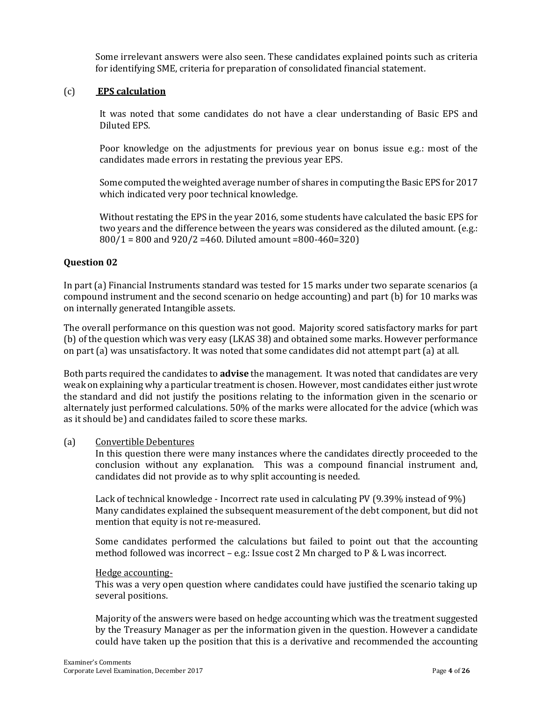Some irrelevant answers were also seen. These candidates explained points such as criteria for identifying SME, criteria for preparation of consolidated financial statement.

## (c) **EPS calculation**

It was noted that some candidates do not have a clear understanding of Basic EPS and Diluted EPS.

Poor knowledge on the adjustments for previous year on bonus issue e.g.: most of the candidates made errors in restating the previous year EPS.

Some computed the weighted average number of shares in computing the Basic EPS for 2017 which indicated very poor technical knowledge.

Without restating the EPS in the year 2016, some students have calculated the basic EPS for two years and the difference between the years was considered as the diluted amount. (e.g.: 800/1 = 800 and 920/2 =460. Diluted amount =800-460=320)

#### **Question 02**

In part (a) Financial Instruments standard was tested for 15 marks under two separate scenarios (a compound instrument and the second scenario on hedge accounting) and part (b) for 10 marks was on internally generated Intangible assets.

The overall performance on this question was not good. Majority scored satisfactory marks for part (b) of the question which was very easy (LKAS 38) and obtained some marks. However performance on part (a) was unsatisfactory. It was noted that some candidates did not attempt part (a) at all.

Both parts required the candidates to **advise** the management. It was noted that candidates are very weak on explaining why a particular treatment is chosen. However, most candidates either just wrote the standard and did not justify the positions relating to the information given in the scenario or alternately just performed calculations. 50% of the marks were allocated for the advice (which was as it should be) and candidates failed to score these marks.

#### (a) Convertible Debentures

In this question there were many instances where the candidates directly proceeded to the conclusion without any explanation. This was a compound financial instrument and, candidates did not provide as to why split accounting is needed.

Lack of technical knowledge - Incorrect rate used in calculating PV (9.39% instead of 9%) Many candidates explained the subsequent measurement of the debt component, but did not mention that equity is not re-measured.

Some candidates performed the calculations but failed to point out that the accounting method followed was incorrect – e.g.: Issue cost 2 Mn charged to P & L was incorrect.

#### Hedge accounting-

This was a very open question where candidates could have justified the scenario taking up several positions.

Majority of the answers were based on hedge accounting which was the treatment suggested by the Treasury Manager as per the information given in the question. However a candidate could have taken up the position that this is a derivative and recommended the accounting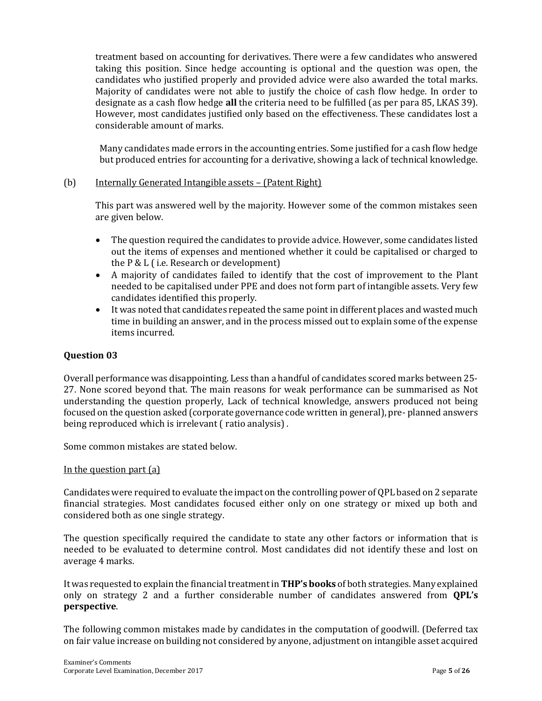treatment based on accounting for derivatives. There were a few candidates who answered taking this position. Since hedge accounting is optional and the question was open, the candidates who justified properly and provided advice were also awarded the total marks. Majority of candidates were not able to justify the choice of cash flow hedge. In order to designate as a cash flow hedge **all** the criteria need to be fulfilled (as per para 85, LKAS 39). However, most candidates justified only based on the effectiveness. These candidates lost a considerable amount of marks.

Many candidates made errors in the accounting entries. Some justified for a cash flow hedge but produced entries for accounting for a derivative, showing a lack of technical knowledge.

#### (b) Internally Generated Intangible assets – (Patent Right)

This part was answered well by the majority. However some of the common mistakes seen are given below.

- The question required the candidates to provide advice. However, some candidates listed out the items of expenses and mentioned whether it could be capitalised or charged to the P & L ( i.e. Research or development)
- A majority of candidates failed to identify that the cost of improvement to the Plant needed to be capitalised under PPE and does not form part of intangible assets. Very few candidates identified this properly.
- It was noted that candidates repeated the same point in different places and wasted much time in building an answer, and in the process missed out to explain some of the expense items incurred.

# **Question 03**

Overall performance was disappointing. Less than a handful of candidates scored marks between 25- 27. None scored beyond that. The main reasons for weak performance can be summarised as Not understanding the question properly, Lack of technical knowledge, answers produced not being focused on the question asked (corporate governance code written in general), pre- planned answers being reproduced which is irrelevant ( ratio analysis) .

Some common mistakes are stated below.

#### In the question part (a)

Candidates were required to evaluate the impact on the controlling power of QPL based on 2 separate financial strategies. Most candidates focused either only on one strategy or mixed up both and considered both as one single strategy.

The question specifically required the candidate to state any other factors or information that is needed to be evaluated to determine control. Most candidates did not identify these and lost on average 4 marks.

It was requested to explain the financial treatment in **THP's books** of both strategies. Many explained only on strategy 2 and a further considerable number of candidates answered from **QPL's perspective**.

The following common mistakes made by candidates in the computation of goodwill. (Deferred tax on fair value increase on building not considered by anyone, adjustment on intangible asset acquired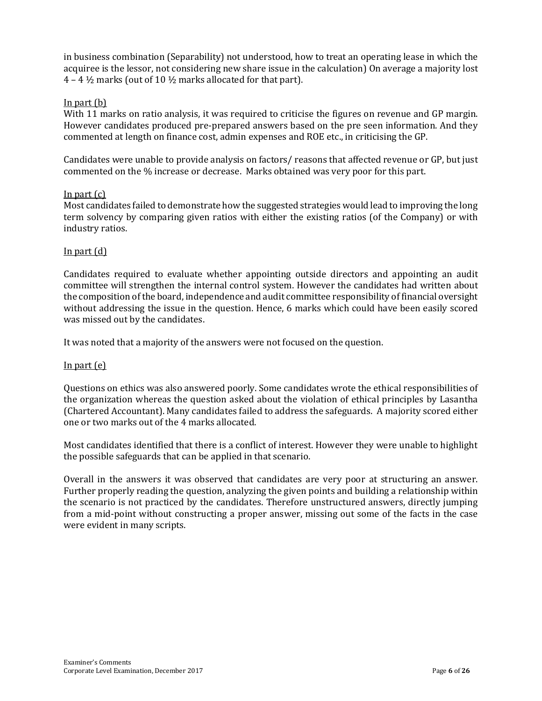in business combination (Separability) not understood, how to treat an operating lease in which the acquiree is the lessor, not considering new share issue in the calculation) On average a majority lost  $4 - 4\frac{1}{2}$  marks (out of 10  $\frac{1}{2}$  marks allocated for that part).

#### In part (b)

With 11 marks on ratio analysis, it was required to criticise the figures on revenue and GP margin. However candidates produced pre-prepared answers based on the pre seen information. And they commented at length on finance cost, admin expenses and ROE etc., in criticising the GP.

Candidates were unable to provide analysis on factors/ reasons that affected revenue or GP, but just commented on the % increase or decrease. Marks obtained was very poor for this part.

#### In part  $(c)$

Most candidates failed to demonstrate how the suggested strategies would lead to improving the long term solvency by comparing given ratios with either the existing ratios (of the Company) or with industry ratios.

#### In part (d)

Candidates required to evaluate whether appointing outside directors and appointing an audit committee will strengthen the internal control system. However the candidates had written about the composition of the board, independence and audit committee responsibility of financial oversight without addressing the issue in the question. Hence, 6 marks which could have been easily scored was missed out by the candidates.

It was noted that a majority of the answers were not focused on the question.

#### In part (e)

Questions on ethics was also answered poorly. Some candidates wrote the ethical responsibilities of the organization whereas the question asked about the violation of ethical principles by Lasantha (Chartered Accountant). Many candidates failed to address the safeguards. A majority scored either one or two marks out of the 4 marks allocated.

Most candidates identified that there is a conflict of interest. However they were unable to highlight the possible safeguards that can be applied in that scenario.

Overall in the answers it was observed that candidates are very poor at structuring an answer. Further properly reading the question, analyzing the given points and building a relationship within the scenario is not practiced by the candidates. Therefore unstructured answers, directly jumping from a mid-point without constructing a proper answer, missing out some of the facts in the case were evident in many scripts.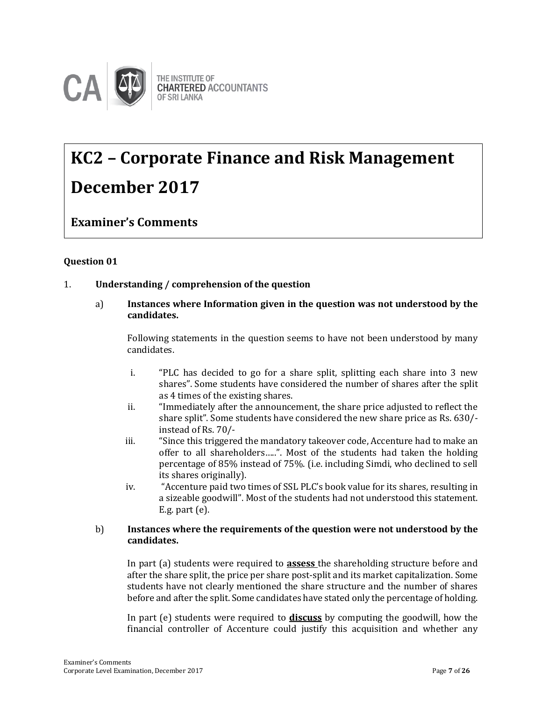

# **KC2 – Corporate Finance and Risk Management December 2017**

**Examiner's Comments**

# **Question 01**

# 1. **Understanding / comprehension of the question**

a) **Instances where Information given in the question was not understood by the candidates.**

Following statements in the question seems to have not been understood by many candidates.

- i. "PLC has decided to go for a share split, splitting each share into 3 new shares". Some students have considered the number of shares after the split as 4 times of the existing shares.
- ii. "Immediately after the announcement, the share price adjusted to reflect the share split". Some students have considered the new share price as Rs. 630/ instead of Rs. 70/-
- iii. "Since this triggered the mandatory takeover code, Accenture had to make an offer to all shareholders…..". Most of the students had taken the holding percentage of 85% instead of 75%. (i.e. including Simdi, who declined to sell its shares originally).
- iv. "Accenture paid two times of SSL PLC's book value for its shares, resulting in a sizeable goodwill". Most of the students had not understood this statement. E.g. part (e).

#### b) **Instances where the requirements of the question were not understood by the candidates.**

In part (a) students were required to **assess** the shareholding structure before and after the share split, the price per share post-split and its market capitalization. Some students have not clearly mentioned the share structure and the number of shares before and after the split. Some candidates have stated only the percentage of holding.

In part (e) students were required to **discuss** by computing the goodwill, how the financial controller of Accenture could justify this acquisition and whether any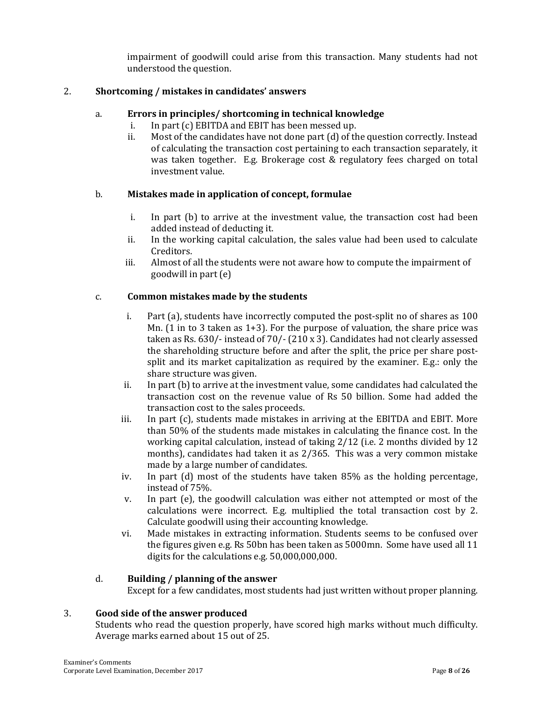impairment of goodwill could arise from this transaction. Many students had not understood the question.

### 2. **Shortcoming / mistakes in candidates' answers**

#### a. **Errors in principles/ shortcoming in technical knowledge**

- i. In part (c) EBITDA and EBIT has been messed up.
- ii. Most of the candidates have not done part (d) of the question correctly. Instead of calculating the transaction cost pertaining to each transaction separately, it was taken together. E.g. Brokerage cost & regulatory fees charged on total investment value.

#### b. **Mistakes made in application of concept, formulae**

- i. In part (b) to arrive at the investment value, the transaction cost had been added instead of deducting it.
- ii. In the working capital calculation, the sales value had been used to calculate Creditors.
- iii. Almost of all the students were not aware how to compute the impairment of goodwill in part (e)

#### c. **Common mistakes made by the students**

- i. Part (a), students have incorrectly computed the post-split no of shares as 100 Mn. (1 in to 3 taken as 1+3). For the purpose of valuation, the share price was taken as Rs. 630/- instead of 70/- (210 x 3). Candidates had not clearly assessed the shareholding structure before and after the split, the price per share postsplit and its market capitalization as required by the examiner. E.g.: only the share structure was given.
- ii. In part (b) to arrive at the investment value, some candidates had calculated the transaction cost on the revenue value of Rs 50 billion. Some had added the transaction cost to the sales proceeds.
- iii. In part (c), students made mistakes in arriving at the EBITDA and EBIT. More than 50% of the students made mistakes in calculating the finance cost. In the working capital calculation, instead of taking 2/12 (i.e. 2 months divided by 12 months), candidates had taken it as 2/365. This was a very common mistake made by a large number of candidates.
- iv. In part (d) most of the students have taken 85% as the holding percentage, instead of 75%.
- v. In part (e), the goodwill calculation was either not attempted or most of the calculations were incorrect. E.g. multiplied the total transaction cost by 2. Calculate goodwill using their accounting knowledge.
- vi. Made mistakes in extracting information. Students seems to be confused over the figures given e.g. Rs 50bn has been taken as 5000mn. Some have used all 11 digits for the calculations e.g. 50,000,000,000.

#### d. **Building / planning of the answer**

Except for a few candidates, most students had just written without proper planning.

#### 3. **Good side of the answer produced**

Students who read the question properly, have scored high marks without much difficulty. Average marks earned about 15 out of 25.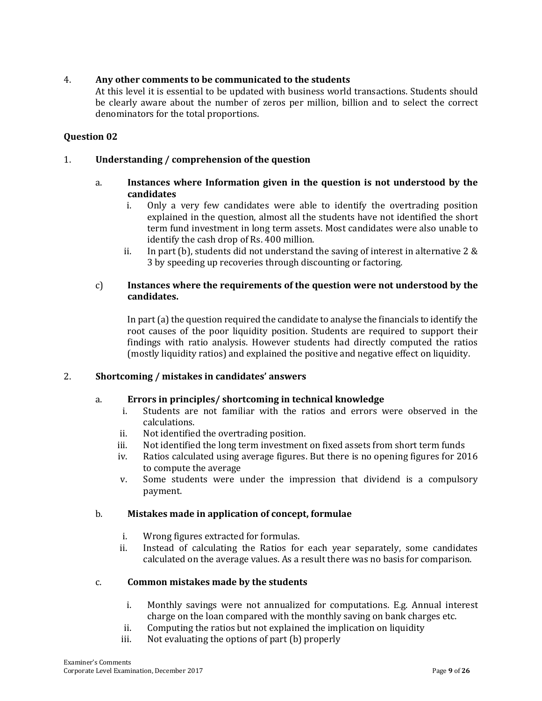# 4. **Any other comments to be communicated to the students**

At this level it is essential to be updated with business world transactions. Students should be clearly aware about the number of zeros per million, billion and to select the correct denominators for the total proportions.

## **Question 02**

#### 1. **Understanding / comprehension of the question**

#### a. **Instances where Information given in the question is not understood by the candidates**

- i. Only a very few candidates were able to identify the overtrading position explained in the question, almost all the students have not identified the short term fund investment in long term assets. Most candidates were also unable to identify the cash drop of Rs. 400 million.
- ii. In part (b), students did not understand the saving of interest in alternative 2  $\&$ 3 by speeding up recoveries through discounting or factoring.

#### c) **Instances where the requirements of the question were not understood by the candidates.**

In part (a) the question required the candidate to analyse the financials to identify the root causes of the poor liquidity position. Students are required to support their findings with ratio analysis. However students had directly computed the ratios (mostly liquidity ratios) and explained the positive and negative effect on liquidity.

#### 2. **Shortcoming / mistakes in candidates' answers**

#### a. **Errors in principles/ shortcoming in technical knowledge**

- i. Students are not familiar with the ratios and errors were observed in the calculations.
- ii. Not identified the overtrading position.
- iii. Not identified the long term investment on fixed assets from short term funds
- iv. Ratios calculated using average figures. But there is no opening figures for 2016 to compute the average
- v. Some students were under the impression that dividend is a compulsory payment.

#### b. **Mistakes made in application of concept, formulae**

- i. Wrong figures extracted for formulas.
- ii. Instead of calculating the Ratios for each year separately, some candidates calculated on the average values. As a result there was no basis for comparison.

#### c. **Common mistakes made by the students**

- i. Monthly savings were not annualized for computations. E.g. Annual interest charge on the loan compared with the monthly saving on bank charges etc.
- ii. Computing the ratios but not explained the implication on liquidity
- iii. Not evaluating the options of part (b) properly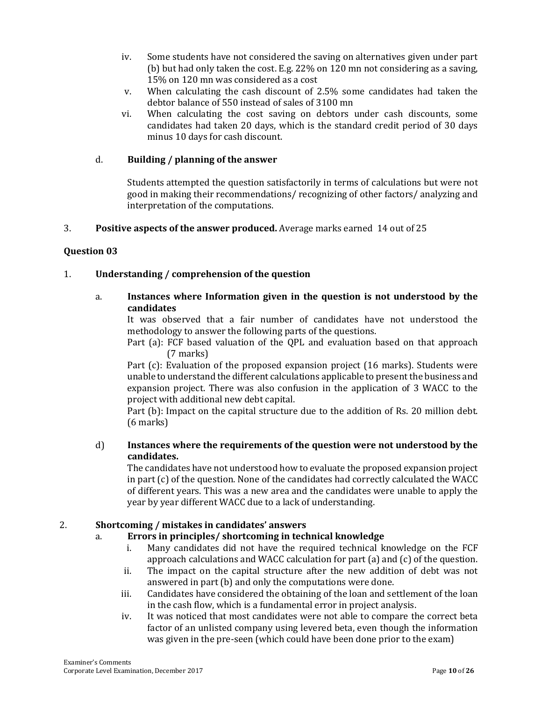- iv. Some students have not considered the saving on alternatives given under part (b) but had only taken the cost. E.g. 22% on 120 mn not considering as a saving, 15% on 120 mn was considered as a cost
- v. When calculating the cash discount of 2.5% some candidates had taken the debtor balance of 550 instead of sales of 3100 mn
- vi. When calculating the cost saving on debtors under cash discounts, some candidates had taken 20 days, which is the standard credit period of 30 days minus 10 days for cash discount.

# d. **Building / planning of the answer**

Students attempted the question satisfactorily in terms of calculations but were not good in making their recommendations/ recognizing of other factors/ analyzing and interpretation of the computations.

# 3. **Positive aspects of the answer produced.** Average marks earned14 out of 25

# **Question 03**

# 1. **Understanding / comprehension of the question**

# a. **Instances where Information given in the question is not understood by the candidates**

It was observed that a fair number of candidates have not understood the methodology to answer the following parts of the questions.

Part (a): FCF based valuation of the QPL and evaluation based on that approach (7 marks)

Part (c): Evaluation of the proposed expansion project (16 marks). Students were unable to understand the different calculations applicable to present the business and expansion project. There was also confusion in the application of 3 WACC to the project with additional new debt capital.

Part (b): Impact on the capital structure due to the addition of Rs. 20 million debt. (6 marks)

# d) **Instances where the requirements of the question were not understood by the candidates.**

The candidates have not understood how to evaluate the proposed expansion project in part (c) of the question. None of the candidates had correctly calculated the WACC of different years. This was a new area and the candidates were unable to apply the year by year different WACC due to a lack of understanding.

# 2. **Shortcoming / mistakes in candidates' answers**

# a. **Errors in principles/ shortcoming in technical knowledge**

- i. Many candidates did not have the required technical knowledge on the FCF approach calculations and WACC calculation for part (a) and (c) of the question.
- ii. The impact on the capital structure after the new addition of debt was not answered in part (b) and only the computations were done.
- iii. Candidates have considered the obtaining of the loan and settlement of the loan in the cash flow, which is a fundamental error in project analysis.
- iv. It was noticed that most candidates were not able to compare the correct beta factor of an unlisted company using levered beta, even though the information was given in the pre-seen (which could have been done prior to the exam)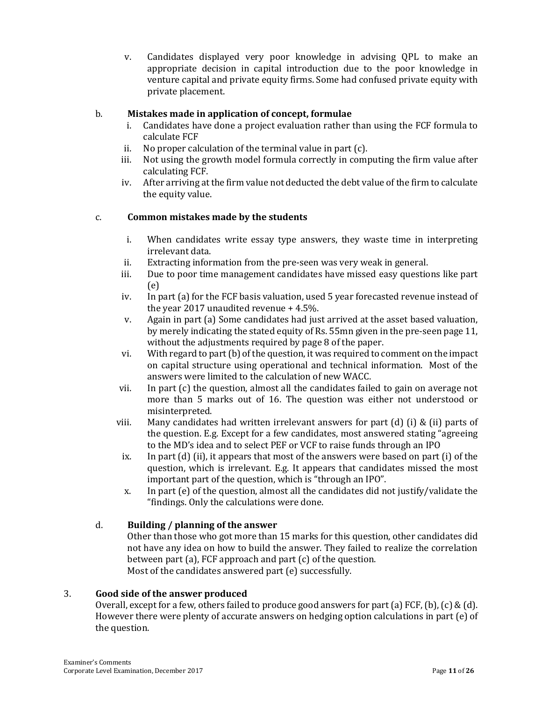v. Candidates displayed very poor knowledge in advising QPL to make an appropriate decision in capital introduction due to the poor knowledge in venture capital and private equity firms. Some had confused private equity with private placement.

# b. **Mistakes made in application of concept, formulae**

- i. Candidates have done a project evaluation rather than using the FCF formula to calculate FCF
- ii. No proper calculation of the terminal value in part (c).
- iii. Not using the growth model formula correctly in computing the firm value after calculating FCF.
- iv. After arriving at the firm value not deducted the debt value of the firm to calculate the equity value.

#### c. **Common mistakes made by the students**

- i. When candidates write essay type answers, they waste time in interpreting irrelevant data.
- ii. Extracting information from the pre-seen was very weak in general.
- iii. Due to poor time management candidates have missed easy questions like part (e)
- iv. In part (a) for the FCF basis valuation, used 5 year forecasted revenue instead of the year 2017 unaudited revenue + 4.5%.
- v. Again in part (a) Some candidates had just arrived at the asset based valuation, by merely indicating the stated equity of Rs. 55mn given in the pre-seen page 11, without the adjustments required by page 8 of the paper.
- vi. With regard to part (b) of the question, it was required to comment on the impact on capital structure using operational and technical information. Most of the answers were limited to the calculation of new WACC.
- vii. In part (c) the question, almost all the candidates failed to gain on average not more than 5 marks out of 16. The question was either not understood or misinterpreted.
- viii. Many candidates had written irrelevant answers for part (d) (i) & (ii) parts of the question. E.g. Except for a few candidates, most answered stating "agreeing to the MD's idea and to select PEF or VCF to raise funds through an IPO
- ix. In part (d) (ii), it appears that most of the answers were based on part (i) of the question, which is irrelevant. E.g. It appears that candidates missed the most important part of the question, which is "through an IPO".
- x. In part (e) of the question, almost all the candidates did not justify/validate the "findings. Only the calculations were done.

# d. **Building / planning of the answer**

Other than those who got more than 15 marks for this question, other candidates did not have any idea on how to build the answer. They failed to realize the correlation between part (a), FCF approach and part (c) of the question. Most of the candidates answered part (e) successfully.

#### 3. **Good side of the answer produced**

Overall, except for a few, others failed to produce good answers for part (a) FCF, (b), (c) & (d). However there were plenty of accurate answers on hedging option calculations in part (e) of the question.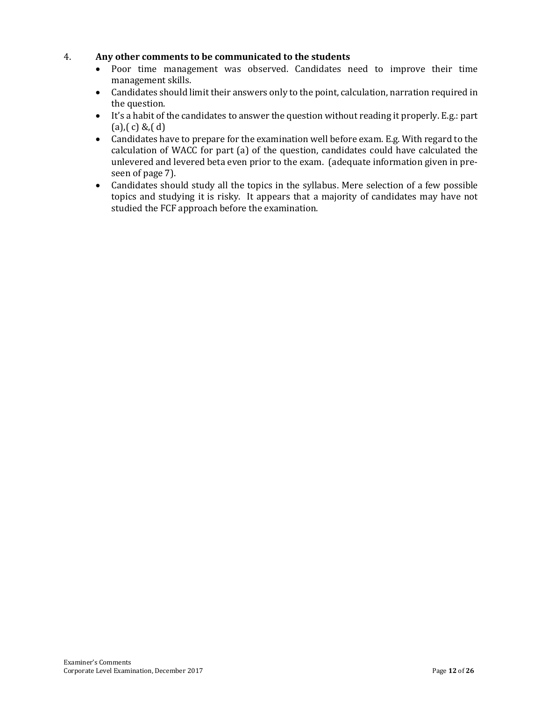# 4. **Any other comments to be communicated to the students**

- Poor time management was observed. Candidates need to improve their time management skills.
- Candidates should limit their answers only to the point, calculation, narration required in the question.
- It's a habit of the candidates to answer the question without reading it properly. E.g.: part  $(a), (c) & (d)$
- Candidates have to prepare for the examination well before exam. E.g. With regard to the calculation of WACC for part (a) of the question, candidates could have calculated the unlevered and levered beta even prior to the exam. (adequate information given in preseen of page 7).
- Candidates should study all the topics in the syllabus. Mere selection of a few possible topics and studying it is risky. It appears that a majority of candidates may have not studied the FCF approach before the examination.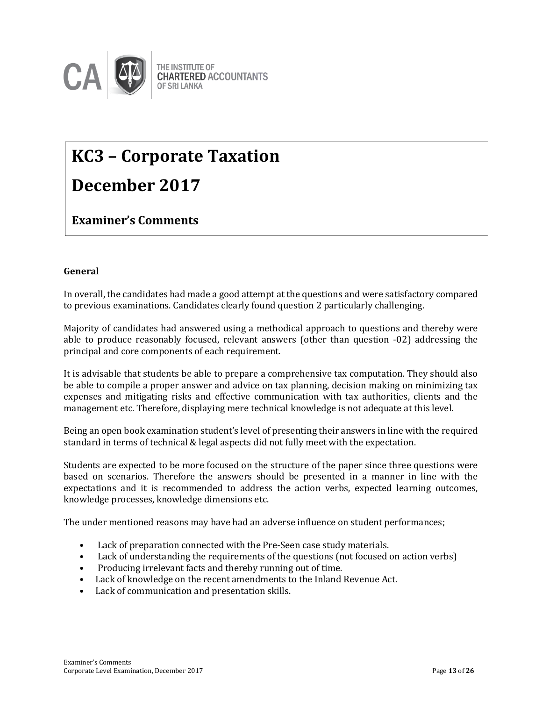

# **KC3 – Corporate Taxation December 2017**

# **Examiner's Comments**

# **General**

In overall, the candidates had made a good attempt at the questions and were satisfactory compared to previous examinations. Candidates clearly found question 2 particularly challenging.

Majority of candidates had answered using a methodical approach to questions and thereby were able to produce reasonably focused, relevant answers (other than question -02) addressing the principal and core components of each requirement.

It is advisable that students be able to prepare a comprehensive tax computation. They should also be able to compile a proper answer and advice on tax planning, decision making on minimizing tax expenses and mitigating risks and effective communication with tax authorities, clients and the management etc. Therefore, displaying mere technical knowledge is not adequate at this level.

Being an open book examination student's level of presenting their answers in line with the required standard in terms of technical & legal aspects did not fully meet with the expectation.

Students are expected to be more focused on the structure of the paper since three questions were based on scenarios. Therefore the answers should be presented in a manner in line with the expectations and it is recommended to address the action verbs, expected learning outcomes, knowledge processes, knowledge dimensions etc.

The under mentioned reasons may have had an adverse influence on student performances;

- Lack of preparation connected with the Pre-Seen case study materials.
- Lack of understanding the requirements of the questions (not focused on action verbs)
- Producing irrelevant facts and thereby running out of time.
- Lack of knowledge on the recent amendments to the Inland Revenue Act.
- Lack of communication and presentation skills.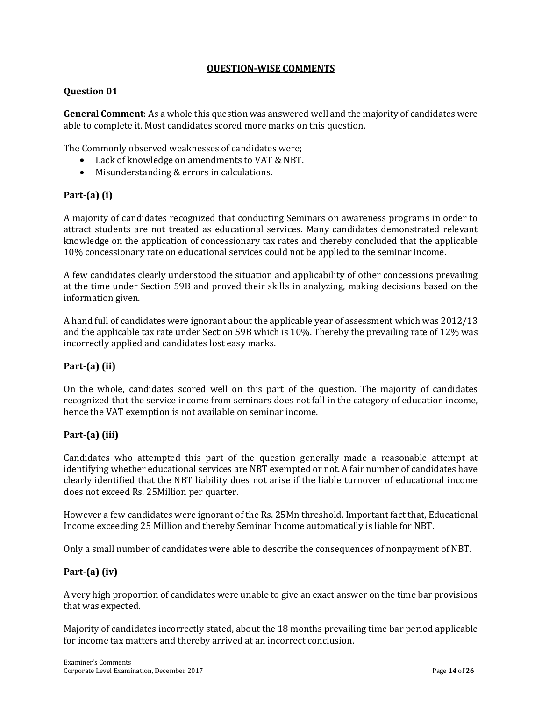# **QUESTION-WISE COMMENTS**

#### **Question 01**

**General Comment**: As a whole this question was answered well and the majority of candidates were able to complete it. Most candidates scored more marks on this question.

The Commonly observed weaknesses of candidates were;

- Lack of knowledge on amendments to VAT & NBT.
- Misunderstanding & errors in calculations.

# **Part-(a) (i)**

A majority of candidates recognized that conducting Seminars on awareness programs in order to attract students are not treated as educational services. Many candidates demonstrated relevant knowledge on the application of concessionary tax rates and thereby concluded that the applicable 10% concessionary rate on educational services could not be applied to the seminar income.

A few candidates clearly understood the situation and applicability of other concessions prevailing at the time under Section 59B and proved their skills in analyzing, making decisions based on the information given.

A hand full of candidates were ignorant about the applicable year of assessment which was 2012/13 and the applicable tax rate under Section 59B which is 10%. Thereby the prevailing rate of 12% was incorrectly applied and candidates lost easy marks.

#### **Part-(a) (ii)**

On the whole, candidates scored well on this part of the question. The majority of candidates recognized that the service income from seminars does not fall in the category of education income, hence the VAT exemption is not available on seminar income.

#### **Part-(a) (iii)**

Candidates who attempted this part of the question generally made a reasonable attempt at identifying whether educational services are NBT exempted or not. A fair number of candidates have clearly identified that the NBT liability does not arise if the liable turnover of educational income does not exceed Rs. 25Million per quarter.

However a few candidates were ignorant of the Rs. 25Mn threshold. Important fact that, Educational Income exceeding 25 Million and thereby Seminar Income automatically is liable for NBT.

Only a small number of candidates were able to describe the consequences of nonpayment of NBT.

#### **Part-(a) (iv)**

A very high proportion of candidates were unable to give an exact answer on the time bar provisions that was expected.

Majority of candidates incorrectly stated, about the 18 months prevailing time bar period applicable for income tax matters and thereby arrived at an incorrect conclusion.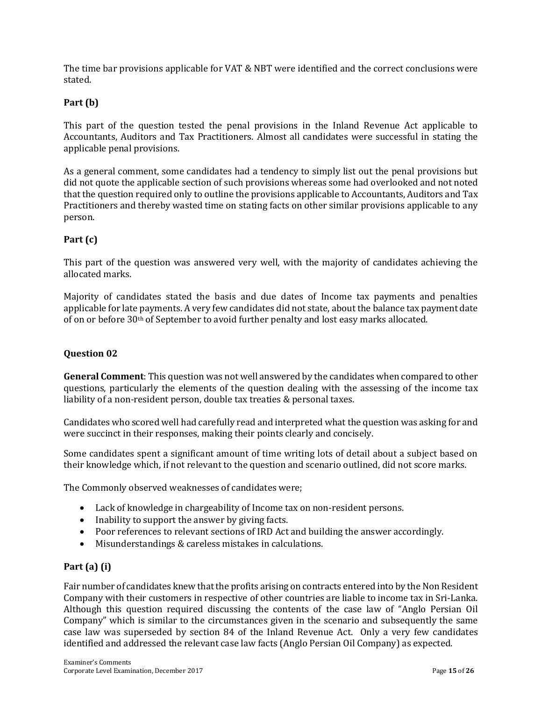The time bar provisions applicable for VAT & NBT were identified and the correct conclusions were stated.

# **Part (b)**

This part of the question tested the penal provisions in the Inland Revenue Act applicable to Accountants, Auditors and Tax Practitioners. Almost all candidates were successful in stating the applicable penal provisions.

As a general comment, some candidates had a tendency to simply list out the penal provisions but did not quote the applicable section of such provisions whereas some had overlooked and not noted that the question required only to outline the provisions applicable to Accountants, Auditors and Tax Practitioners and thereby wasted time on stating facts on other similar provisions applicable to any person.

# **Part (c)**

This part of the question was answered very well, with the majority of candidates achieving the allocated marks.

Majority of candidates stated the basis and due dates of Income tax payments and penalties applicable for late payments. A very few candidates did not state, about the balance tax payment date of on or before 30th of September to avoid further penalty and lost easy marks allocated.

## **Question 02**

**General Comment**: This question was not well answered by the candidates when compared to other questions, particularly the elements of the question dealing with the assessing of the income tax liability of a non-resident person, double tax treaties & personal taxes.

Candidates who scored well had carefully read and interpreted what the question was asking for and were succinct in their responses, making their points clearly and concisely.

Some candidates spent a significant amount of time writing lots of detail about a subject based on their knowledge which, if not relevant to the question and scenario outlined, did not score marks.

The Commonly observed weaknesses of candidates were;

- Lack of knowledge in chargeability of Income tax on non-resident persons.
- Inability to support the answer by giving facts.
- Poor references to relevant sections of IRD Act and building the answer accordingly.
- Misunderstandings & careless mistakes in calculations.

#### **Part (a) (i)**

Fair number of candidates knew that the profits arising on contracts entered into by the Non Resident Company with their customers in respective of other countries are liable to income tax in Sri-Lanka. Although this question required discussing the contents of the case law of "Anglo Persian Oil Company" which is similar to the circumstances given in the scenario and subsequently the same case law was superseded by section 84 of the Inland Revenue Act. Only a very few candidates identified and addressed the relevant case law facts (Anglo Persian Oil Company) as expected.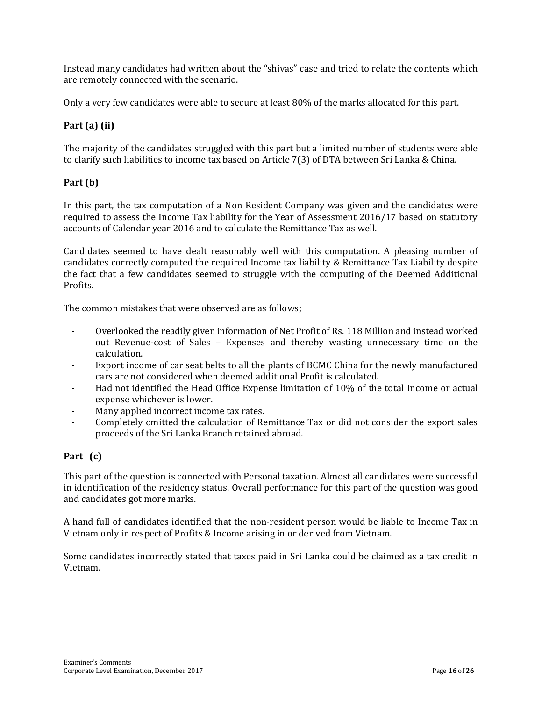Instead many candidates had written about the "shivas" case and tried to relate the contents which are remotely connected with the scenario.

Only a very few candidates were able to secure at least 80% of the marks allocated for this part.

# **Part (a) (ii)**

The majority of the candidates struggled with this part but a limited number of students were able to clarify such liabilities to income tax based on Article 7(3) of DTA between Sri Lanka & China.

# **Part (b)**

In this part, the tax computation of a Non Resident Company was given and the candidates were required to assess the Income Tax liability for the Year of Assessment 2016/17 based on statutory accounts of Calendar year 2016 and to calculate the Remittance Tax as well.

Candidates seemed to have dealt reasonably well with this computation. A pleasing number of candidates correctly computed the required Income tax liability & Remittance Tax Liability despite the fact that a few candidates seemed to struggle with the computing of the Deemed Additional Profits.

The common mistakes that were observed are as follows;

- Overlooked the readily given information of Net Profit of Rs. 118 Million and instead worked out Revenue-cost of Sales – Expenses and thereby wasting unnecessary time on the calculation.
- Export income of car seat belts to all the plants of BCMC China for the newly manufactured cars are not considered when deemed additional Profit is calculated.
- Had not identified the Head Office Expense limitation of 10% of the total Income or actual expense whichever is lower.
- Many applied incorrect income tax rates.
- Completely omitted the calculation of Remittance Tax or did not consider the export sales proceeds of the Sri Lanka Branch retained abroad.

# **Part (c)**

This part of the question is connected with Personal taxation. Almost all candidates were successful in identification of the residency status. Overall performance for this part of the question was good and candidates got more marks.

A hand full of candidates identified that the non-resident person would be liable to Income Tax in Vietnam only in respect of Profits & Income arising in or derived from Vietnam.

Some candidates incorrectly stated that taxes paid in Sri Lanka could be claimed as a tax credit in Vietnam.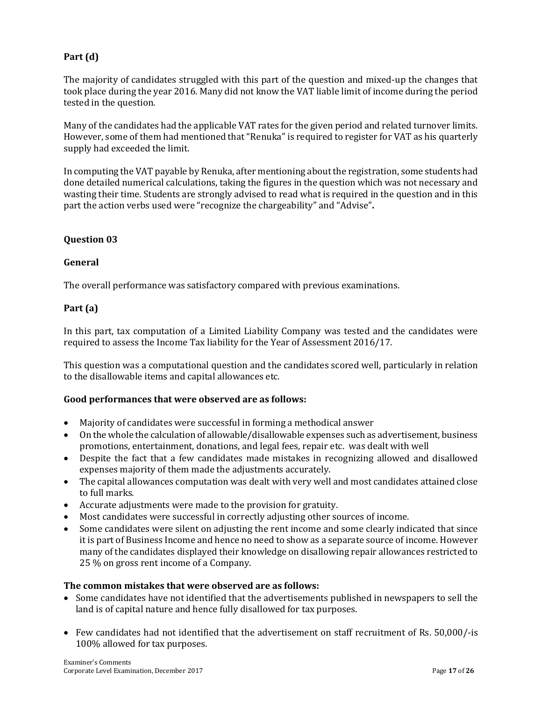# **Part (d)**

The majority of candidates struggled with this part of the question and mixed-up the changes that took place during the year 2016. Many did not know the VAT liable limit of income during the period tested in the question.

Many of the candidates had the applicable VAT rates for the given period and related turnover limits. However, some of them had mentioned that "Renuka" is required to register for VAT as his quarterly supply had exceeded the limit.

In computing the VAT payable by Renuka, after mentioning about the registration, some students had done detailed numerical calculations, taking the figures in the question which was not necessary and wasting their time. Students are strongly advised to read what is required in the question and in this part the action verbs used were "recognize the chargeability" and "Advise"**.**

#### **Question 03**

#### **General**

The overall performance was satisfactory compared with previous examinations.

#### **Part (a)**

In this part, tax computation of a Limited Liability Company was tested and the candidates were required to assess the Income Tax liability for the Year of Assessment 2016/17.

This question was a computational question and the candidates scored well, particularly in relation to the disallowable items and capital allowances etc.

#### **Good performances that were observed are as follows:**

- Majority of candidates were successful in forming a methodical answer
- On the whole the calculation of allowable/disallowable expenses such as advertisement, business promotions, entertainment, donations, and legal fees, repair etc. was dealt with well
- Despite the fact that a few candidates made mistakes in recognizing allowed and disallowed expenses majority of them made the adjustments accurately.
- The capital allowances computation was dealt with very well and most candidates attained close to full marks.
- Accurate adjustments were made to the provision for gratuity.
- Most candidates were successful in correctly adjusting other sources of income.
- Some candidates were silent on adjusting the rent income and some clearly indicated that since it is part of Business Income and hence no need to show as a separate source of income. However many of the candidates displayed their knowledge on disallowing repair allowances restricted to 25 % on gross rent income of a Company.

#### **The common mistakes that were observed are as follows:**

- Some candidates have not identified that the advertisements published in newspapers to sell the land is of capital nature and hence fully disallowed for tax purposes.
- Few candidates had not identified that the advertisement on staff recruitment of Rs. 50,000/-is 100% allowed for tax purposes.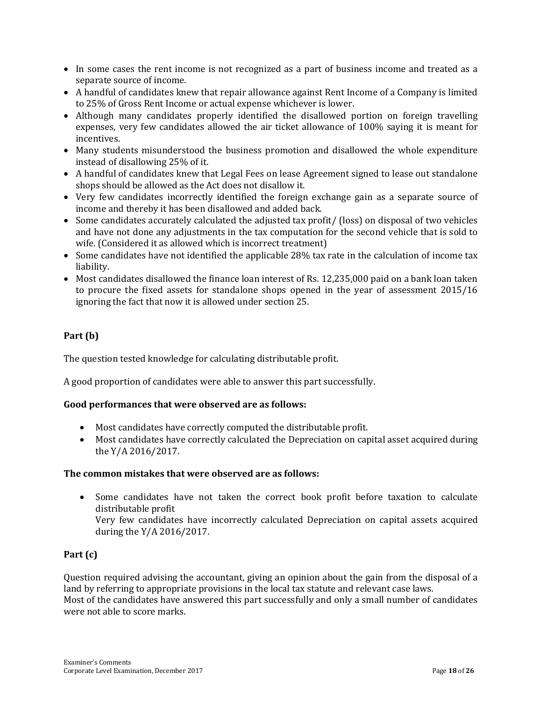- In some cases the rent income is not recognized as a part of business income and treated as a separate source of income.
- A handful of candidates knew that repair allowance against Rent Income of a Company is limited to 25% of Gross Rent Income or actual expense whichever is lower.
- Although many candidates properly identified the disallowed portion on foreign travelling expenses, very few candidates allowed the air ticket allowance of 100% saying it is meant for incentives.
- Many students misunderstood the business promotion and disallowed the whole expenditure instead of disallowing 25% of it.
- A handful of candidates knew that Legal Fees on lease Agreement signed to lease out standalone shops should be allowed as the Act does not disallow it.
- Very few candidates incorrectly identified the foreign exchange gain as a separate source of income and thereby it has been disallowed and added back.
- Some candidates accurately calculated the adjusted tax profit/ (loss) on disposal of two vehicles and have not done any adjustments in the tax computation for the second vehicle that is sold to wife. (Considered it as allowed which is incorrect treatment)
- Some candidates have not identified the applicable 28% tax rate in the calculation of income tax liability.
- Most candidates disallowed the finance loan interest of Rs. 12,235,000 paid on a bank loan taken to procure the fixed assets for standalone shops opened in the year of assessment 2015/16 ignoring the fact that now it is allowed under section 25.

# **Part (b)**

The question tested knowledge for calculating distributable profit.

A good proportion of candidates were able to answer this part successfully.

# **Good performances that were observed are as follows:**

- Most candidates have correctly computed the distributable profit.
- Most candidates have correctly calculated the Depreciation on capital asset acquired during the Y/A 2016/2017.

# **The common mistakes that were observed are as follows:**

 Some candidates have not taken the correct book profit before taxation to calculate distributable profit Very few candidates have incorrectly calculated Depreciation on capital assets acquired during the Y/A 2016/2017.

# **Part (c)**

Question required advising the accountant, giving an opinion about the gain from the disposal of a land by referring to appropriate provisions in the local tax statute and relevant case laws. Most of the candidates have answered this part successfully and only a small number of candidates were not able to score marks.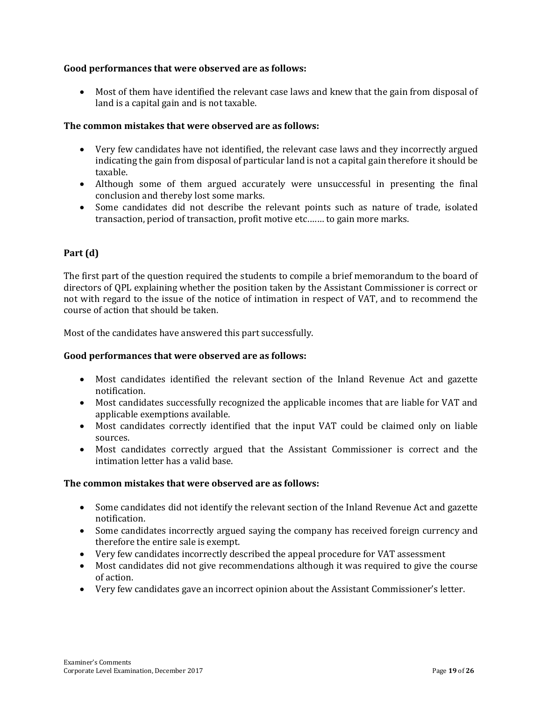# **Good performances that were observed are as follows:**

 Most of them have identified the relevant case laws and knew that the gain from disposal of land is a capital gain and is not taxable.

#### **The common mistakes that were observed are as follows:**

- Very few candidates have not identified, the relevant case laws and they incorrectly argued indicating the gain from disposal of particular land is not a capital gain therefore it should be taxable.
- Although some of them argued accurately were unsuccessful in presenting the final conclusion and thereby lost some marks.
- Some candidates did not describe the relevant points such as nature of trade, isolated transaction, period of transaction, profit motive etc.…… to gain more marks.

# **Part (d)**

The first part of the question required the students to compile a brief memorandum to the board of directors of QPL explaining whether the position taken by the Assistant Commissioner is correct or not with regard to the issue of the notice of intimation in respect of VAT, and to recommend the course of action that should be taken.

Most of the candidates have answered this part successfully.

#### **Good performances that were observed are as follows:**

- Most candidates identified the relevant section of the Inland Revenue Act and gazette notification.
- Most candidates successfully recognized the applicable incomes that are liable for VAT and applicable exemptions available.
- Most candidates correctly identified that the input VAT could be claimed only on liable sources.
- Most candidates correctly argued that the Assistant Commissioner is correct and the intimation letter has a valid base.

#### **The common mistakes that were observed are as follows:**

- Some candidates did not identify the relevant section of the Inland Revenue Act and gazette notification.
- Some candidates incorrectly argued saying the company has received foreign currency and therefore the entire sale is exempt.
- Very few candidates incorrectly described the appeal procedure for VAT assessment
- Most candidates did not give recommendations although it was required to give the course of action.
- Very few candidates gave an incorrect opinion about the Assistant Commissioner's letter.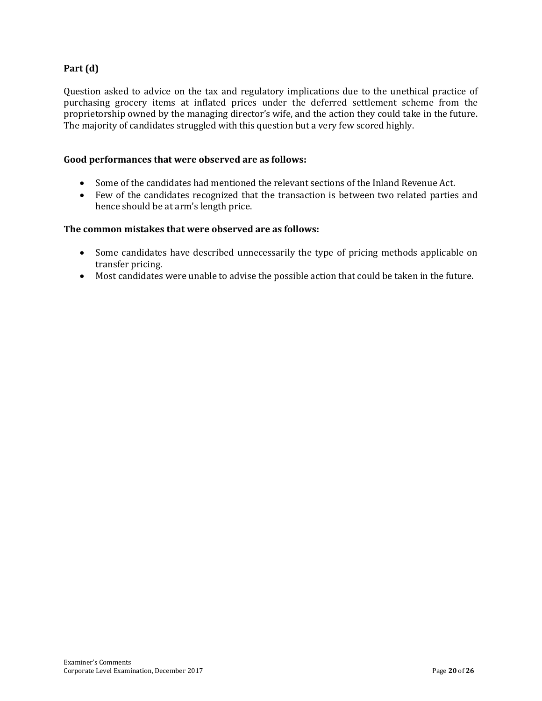# **Part (d)**

Question asked to advice on the tax and regulatory implications due to the unethical practice of purchasing grocery items at inflated prices under the deferred settlement scheme from the proprietorship owned by the managing director's wife, and the action they could take in the future. The majority of candidates struggled with this question but a very few scored highly.

#### **Good performances that were observed are as follows:**

- Some of the candidates had mentioned the relevant sections of the Inland Revenue Act.
- Few of the candidates recognized that the transaction is between two related parties and hence should be at arm's length price.

#### **The common mistakes that were observed are as follows:**

- Some candidates have described unnecessarily the type of pricing methods applicable on transfer pricing.
- Most candidates were unable to advise the possible action that could be taken in the future.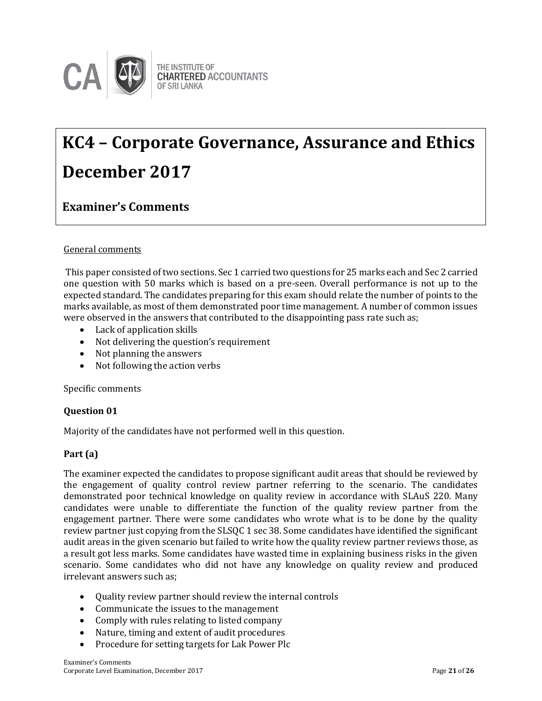

# **KC4 – Corporate Governance, Assurance and Ethics December 2017**

# **Examiner's Comments**

#### General comments

This paper consisted of two sections. Sec 1 carried two questions for 25 marks each and Sec 2 carried one question with 50 marks which is based on a pre-seen. Overall performance is not up to the expected standard. The candidates preparing for this exam should relate the number of points to the marks available, as most of them demonstrated poor time management. A number of common issues were observed in the answers that contributed to the disappointing pass rate such as;

- Lack of application skills
- Not delivering the question's requirement
- Not planning the answers
- Not following the action verbs

#### Specific comments

#### **Question 01**

Majority of the candidates have not performed well in this question.

#### **Part (a)**

The examiner expected the candidates to propose significant audit areas that should be reviewed by the engagement of quality control review partner referring to the scenario. The candidates demonstrated poor technical knowledge on quality review in accordance with SLAuS 220. Many candidates were unable to differentiate the function of the quality review partner from the engagement partner. There were some candidates who wrote what is to be done by the quality review partner just copying from the SLSQC 1 sec 38. Some candidates have identified the significant audit areas in the given scenario but failed to write how the quality review partner reviews those, as a result got less marks. Some candidates have wasted time in explaining business risks in the given scenario. Some candidates who did not have any knowledge on quality review and produced irrelevant answers such as;

- Quality review partner should review the internal controls
- Communicate the issues to the management
- Comply with rules relating to listed company
- Nature, timing and extent of audit procedures
- Procedure for setting targets for Lak Power Plc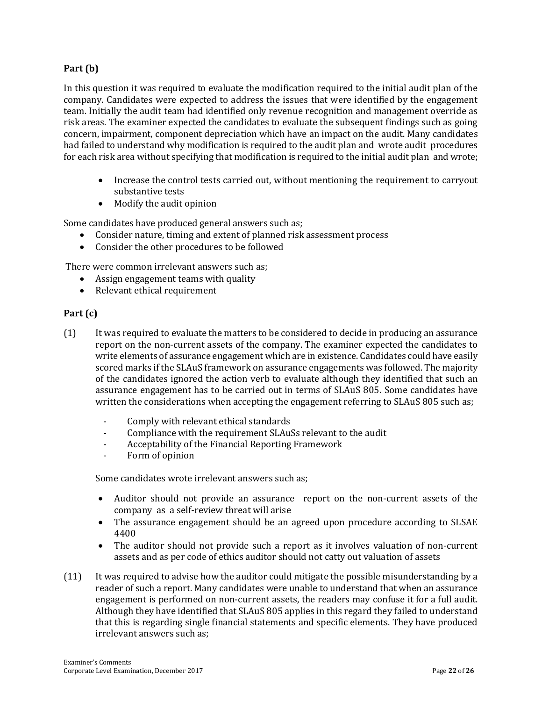# **Part (b)**

In this question it was required to evaluate the modification required to the initial audit plan of the company. Candidates were expected to address the issues that were identified by the engagement team. Initially the audit team had identified only revenue recognition and management override as risk areas. The examiner expected the candidates to evaluate the subsequent findings such as going concern, impairment, component depreciation which have an impact on the audit. Many candidates had failed to understand why modification is required to the audit plan and wrote audit procedures for each risk area without specifying that modification is required to the initial audit plan and wrote;

- Increase the control tests carried out, without mentioning the requirement to carryout substantive tests
- Modify the audit opinion

Some candidates have produced general answers such as;

- Consider nature, timing and extent of planned risk assessment process
- Consider the other procedures to be followed

There were common irrelevant answers such as;

- Assign engagement teams with quality
- Relevant ethical requirement

#### **Part (c)**

- (1) It was required to evaluate the matters to be considered to decide in producing an assurance report on the non-current assets of the company. The examiner expected the candidates to write elements of assurance engagement which are in existence. Candidates could have easily scored marks if the SLAuS framework on assurance engagements was followed. The majority of the candidates ignored the action verb to evaluate although they identified that such an assurance engagement has to be carried out in terms of SLAuS 805. Some candidates have written the considerations when accepting the engagement referring to SLAuS 805 such as;
	- Comply with relevant ethical standards
	- Compliance with the requirement SLAuSs relevant to the audit
	- Acceptability of the Financial Reporting Framework
	- Form of opinion

Some candidates wrote irrelevant answers such as;

- Auditor should not provide an assurance report on the non-current assets of the company as a self-review threat will arise
- The assurance engagement should be an agreed upon procedure according to SLSAE 4400
- The auditor should not provide such a report as it involves valuation of non-current assets and as per code of ethics auditor should not catty out valuation of assets
- (11) It was required to advise how the auditor could mitigate the possible misunderstanding by a reader of such a report. Many candidates were unable to understand that when an assurance engagement is performed on non-current assets, the readers may confuse it for a full audit. Although they have identified that SLAuS 805 applies in this regard they failed to understand that this is regarding single financial statements and specific elements. They have produced irrelevant answers such as;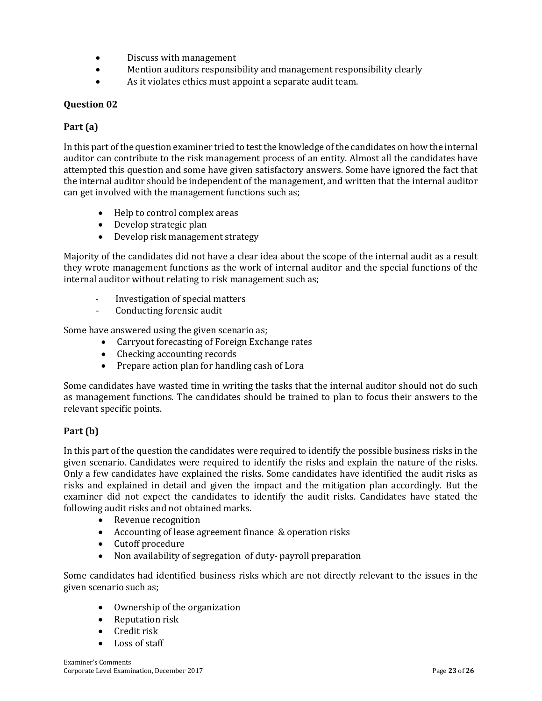- Discuss with management
- Mention auditors responsibility and management responsibility clearly
- As it violates ethics must appoint a separate audit team.

## **Question 02**

## **Part (a)**

In this part of the question examiner tried to test the knowledge of the candidates on how the internal auditor can contribute to the risk management process of an entity. Almost all the candidates have attempted this question and some have given satisfactory answers. Some have ignored the fact that the internal auditor should be independent of the management, and written that the internal auditor can get involved with the management functions such as;

- Help to control complex areas
- Develop strategic plan
- Develop risk management strategy

Majority of the candidates did not have a clear idea about the scope of the internal audit as a result they wrote management functions as the work of internal auditor and the special functions of the internal auditor without relating to risk management such as;

- Investigation of special matters
- Conducting forensic audit

Some have answered using the given scenario as;

- Carryout forecasting of Foreign Exchange rates
- Checking accounting records
- Prepare action plan for handling cash of Lora

Some candidates have wasted time in writing the tasks that the internal auditor should not do such as management functions. The candidates should be trained to plan to focus their answers to the relevant specific points.

# **Part (b)**

In this part of the question the candidates were required to identify the possible business risks in the given scenario. Candidates were required to identify the risks and explain the nature of the risks. Only a few candidates have explained the risks. Some candidates have identified the audit risks as risks and explained in detail and given the impact and the mitigation plan accordingly. But the examiner did not expect the candidates to identify the audit risks. Candidates have stated the following audit risks and not obtained marks.

- Revenue recognition
- Accounting of lease agreement finance & operation risks
- Cutoff procedure
- Non availability of segregation of duty- payroll preparation

Some candidates had identified business risks which are not directly relevant to the issues in the given scenario such as;

- Ownership of the organization
- Reputation risk
- Credit risk
- Loss of staff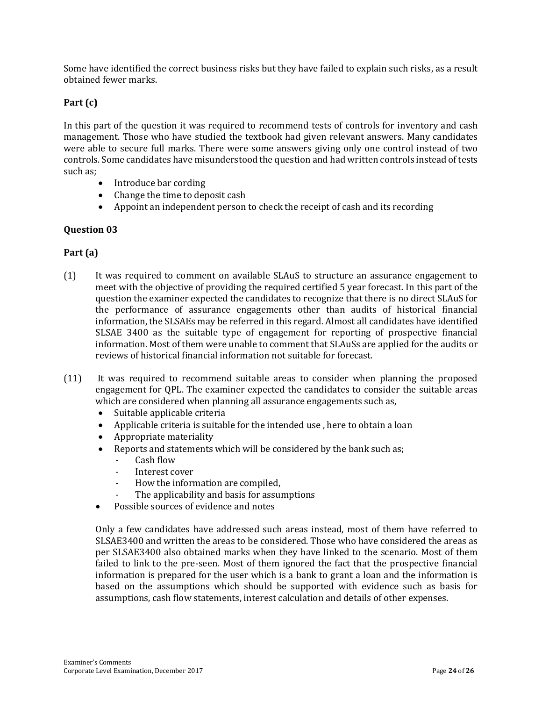Some have identified the correct business risks but they have failed to explain such risks, as a result obtained fewer marks.

# **Part (c)**

In this part of the question it was required to recommend tests of controls for inventory and cash management. Those who have studied the textbook had given relevant answers. Many candidates were able to secure full marks. There were some answers giving only one control instead of two controls. Some candidates have misunderstood the question and had written controls instead of tests such as;

- Introduce bar cording
- Change the time to deposit cash
- Appoint an independent person to check the receipt of cash and its recording

#### **Question 03**

# **Part (a)**

- (1) It was required to comment on available SLAuS to structure an assurance engagement to meet with the objective of providing the required certified 5 year forecast. In this part of the question the examiner expected the candidates to recognize that there is no direct SLAuS for the performance of assurance engagements other than audits of historical financial information, the SLSAEs may be referred in this regard. Almost all candidates have identified SLSAE 3400 as the suitable type of engagement for reporting of prospective financial information. Most of them were unable to comment that SLAuSs are applied for the audits or reviews of historical financial information not suitable for forecast.
- (11) It was required to recommend suitable areas to consider when planning the proposed engagement for QPL. The examiner expected the candidates to consider the suitable areas which are considered when planning all assurance engagements such as,
	- Suitable applicable criteria
	- Applicable criteria is suitable for the intended use , here to obtain a loan
	- Appropriate materiality
	- Reports and statements which will be considered by the bank such as;
		- Cash flow
			- Interest cover
			- How the information are compiled,
			- The applicability and basis for assumptions
	- Possible sources of evidence and notes

Only a few candidates have addressed such areas instead, most of them have referred to SLSAE3400 and written the areas to be considered. Those who have considered the areas as per SLSAE3400 also obtained marks when they have linked to the scenario. Most of them failed to link to the pre-seen. Most of them ignored the fact that the prospective financial information is prepared for the user which is a bank to grant a loan and the information is based on the assumptions which should be supported with evidence such as basis for assumptions, cash flow statements, interest calculation and details of other expenses.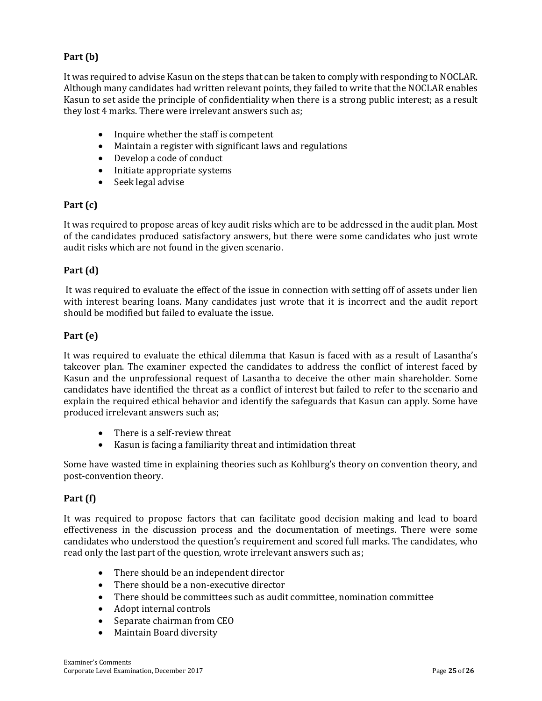# **Part (b)**

It was required to advise Kasun on the steps that can be taken to comply with responding to NOCLAR. Although many candidates had written relevant points, they failed to write that the NOCLAR enables Kasun to set aside the principle of confidentiality when there is a strong public interest; as a result they lost 4 marks. There were irrelevant answers such as;

- Inquire whether the staff is competent
- Maintain a register with significant laws and regulations
- Develop a code of conduct
- Initiate appropriate systems
- $\bullet$  Seek legal advise

# **Part (c)**

It was required to propose areas of key audit risks which are to be addressed in the audit plan. Most of the candidates produced satisfactory answers, but there were some candidates who just wrote audit risks which are not found in the given scenario.

#### **Part (d)**

It was required to evaluate the effect of the issue in connection with setting off of assets under lien with interest bearing loans. Many candidates just wrote that it is incorrect and the audit report should be modified but failed to evaluate the issue.

#### **Part (e)**

It was required to evaluate the ethical dilemma that Kasun is faced with as a result of Lasantha's takeover plan. The examiner expected the candidates to address the conflict of interest faced by Kasun and the unprofessional request of Lasantha to deceive the other main shareholder. Some candidates have identified the threat as a conflict of interest but failed to refer to the scenario and explain the required ethical behavior and identify the safeguards that Kasun can apply. Some have produced irrelevant answers such as;

- There is a self-review threat
- Kasun is facing a familiarity threat and intimidation threat

Some have wasted time in explaining theories such as Kohlburg's theory on convention theory, and post-convention theory.

# **Part (f)**

It was required to propose factors that can facilitate good decision making and lead to board effectiveness in the discussion process and the documentation of meetings. There were some candidates who understood the question's requirement and scored full marks. The candidates, who read only the last part of the question, wrote irrelevant answers such as;

- There should be an independent director
- There should be a non-executive director
- There should be committees such as audit committee, nomination committee
- Adopt internal controls
- Separate chairman from CEO
- Maintain Board diversity